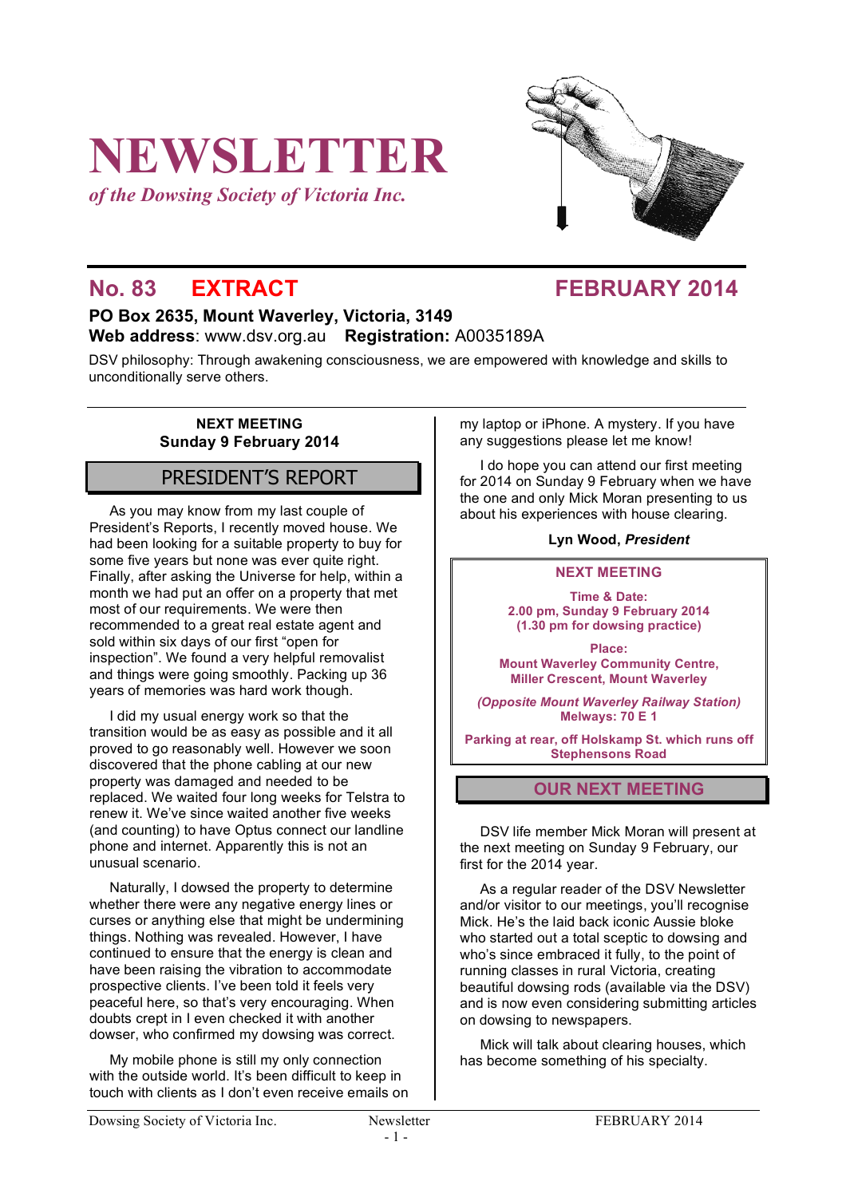# **NEWSLETTER**

*of the Dowsing Society of Victoria Inc.*



# **No. 83 EXTRACT FEBRUARY 2014**

# **PO Box 2635, Mount Waverley, Victoria, 3149 Web address**: www.dsv.org.au **Registration:** A0035189A

DSV philosophy: Through awakening consciousness, we are empowered with knowledge and skills to unconditionally serve others.

### **NEXT MEETING Sunday 9 February 2014**

# PRESIDENT'S REPORT

As you may know from my last couple of President's Reports, I recently moved house. We had been looking for a suitable property to buy for some five years but none was ever quite right. Finally, after asking the Universe for help, within a month we had put an offer on a property that met most of our requirements. We were then recommended to a great real estate agent and sold within six days of our first "open for inspection". We found a very helpful removalist and things were going smoothly. Packing up 36 years of memories was hard work though.

I did my usual energy work so that the transition would be as easy as possible and it all proved to go reasonably well. However we soon discovered that the phone cabling at our new property was damaged and needed to be replaced. We waited four long weeks for Telstra to renew it. We've since waited another five weeks (and counting) to have Optus connect our landline phone and internet. Apparently this is not an unusual scenario.

Naturally, I dowsed the property to determine whether there were any negative energy lines or curses or anything else that might be undermining things. Nothing was revealed. However, I have continued to ensure that the energy is clean and have been raising the vibration to accommodate prospective clients. I've been told it feels very peaceful here, so that's very encouraging. When doubts crept in I even checked it with another dowser, who confirmed my dowsing was correct.

My mobile phone is still my only connection with the outside world. It's been difficult to keep in touch with clients as I don't even receive emails on my laptop or iPhone. A mystery. If you have any suggestions please let me know!

I do hope you can attend our first meeting for 2014 on Sunday 9 February when we have the one and only Mick Moran presenting to us about his experiences with house clearing.

#### **Lyn Wood,** *President*

#### **NEXT MEETING**

**Time & Date: 2.00 pm, Sunday 9 February 2014 (1.30 pm for dowsing practice)**

**Place: Mount Waverley Community Centre, Miller Crescent, Mount Waverley**

*(Opposite Mount Waverley Railway Station)* **Melways: 70 E 1**

**Parking at rear, off Holskamp St. which runs off Stephensons Road**

# **OUR NEXT MEETING**

DSV life member Mick Moran will present at the next meeting on Sunday 9 February, our first for the 2014 year.

As a regular reader of the DSV Newsletter and/or visitor to our meetings, you'll recognise Mick. He's the laid back iconic Aussie bloke who started out a total sceptic to dowsing and who's since embraced it fully, to the point of running classes in rural Victoria, creating beautiful dowsing rods (available via the DSV) and is now even considering submitting articles on dowsing to newspapers.

Mick will talk about clearing houses, which has become something of his specialty.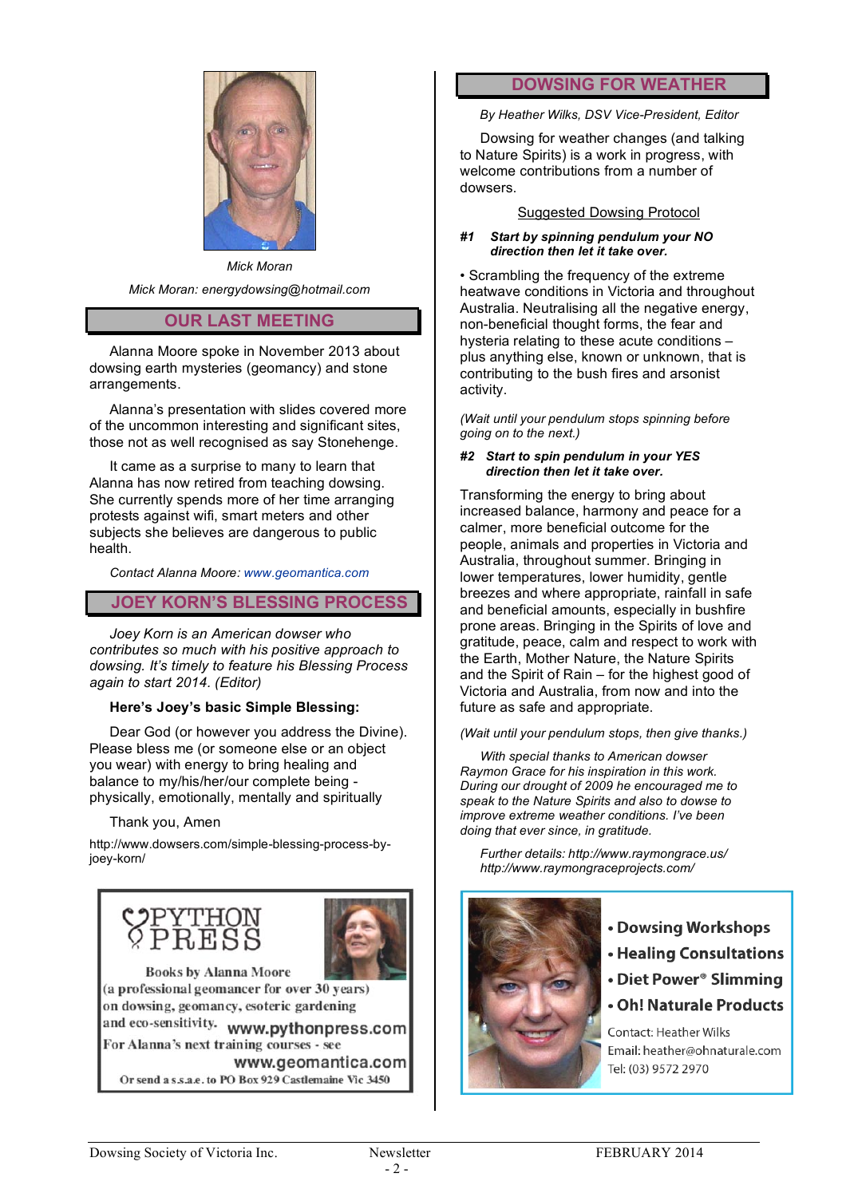

*Mick Moran Mick Moran: energydowsing@hotmail.com*

# **OUR LAST MEETING**

Alanna Moore spoke in November 2013 about dowsing earth mysteries (geomancy) and stone arrangements.

Alanna's presentation with slides covered more of the uncommon interesting and significant sites, those not as well recognised as say Stonehenge.

It came as a surprise to many to learn that Alanna has now retired from teaching dowsing. She currently spends more of her time arranging protests against wifi, smart meters and other subjects she believes are dangerous to public health.

*Contact Alanna Moore: www.geomantica.com*

# **JOEY KORN'S BLESSING PROCESS**

*Joey Korn is an American dowser who contributes so much with his positive approach to dowsing. It's timely to feature his Blessing Process again to start 2014. (Editor)*

#### **Here's Joey's basic Simple Blessing:**

Dear God (or however you address the Divine). Please bless me (or someone else or an object you wear) with energy to bring healing and balance to my/his/her/our complete being physically, emotionally, mentally and spiritually

Thank you, Amen

http://www.dowsers.com/simple-blessing-process-byjoey-korn/





**Books by Alanna Moore** (a professional geomancer for over 30 years) on dowsing, geomancy, esoteric gardening

and eco-sensitivity. www.pythonpress.com For Alanna's next training courses - see

www.geomantica.com Or send a s.s.a.e. to PO Box 929 Castlemaine Vic 3450

# **DOWSING FOR WEATHER**

*By Heather Wilks, DSV Vice-President, Editor*

Dowsing for weather changes (and talking to Nature Spirits) is a work in progress, with welcome contributions from a number of dowsers.

#### Suggested Dowsing Protocol

#### *#1 Start by spinning pendulum your NO direction then let it take over.*

• Scrambling the frequency of the extreme heatwave conditions in Victoria and throughout Australia. Neutralising all the negative energy, non-beneficial thought forms, the fear and hysteria relating to these acute conditions – plus anything else, known or unknown, that is contributing to the bush fires and arsonist activity.

*(Wait until your pendulum stops spinning before going on to the next.)*

#### *#2 Start to spin pendulum in your YES direction then let it take over.*

Transforming the energy to bring about increased balance, harmony and peace for a calmer, more beneficial outcome for the people, animals and properties in Victoria and Australia, throughout summer. Bringing in lower temperatures, lower humidity, gentle breezes and where appropriate, rainfall in safe and beneficial amounts, especially in bushfire prone areas. Bringing in the Spirits of love and gratitude, peace, calm and respect to work with the Earth, Mother Nature, the Nature Spirits and the Spirit of Rain – for the highest good of Victoria and Australia, from now and into the future as safe and appropriate.

*(Wait until your pendulum stops, then give thanks.)*

*With special thanks to American dowser Raymon Grace for his inspiration in this work. During our drought of 2009 he encouraged me to speak to the Nature Spirits and also to dowse to improve extreme weather conditions. I've been doing that ever since, in gratitude.*

*Further details: http://www.raymongrace.us/ http://www.raymongraceprojects.com/*



- Dowsing Workshops
- Healing Consultations
- Diet Power<sup>®</sup> Slimming
- Oh! Naturale Products

**Contact: Heather Wilks** Email: heather@ohnaturale.com Tel: (03) 9572 2970